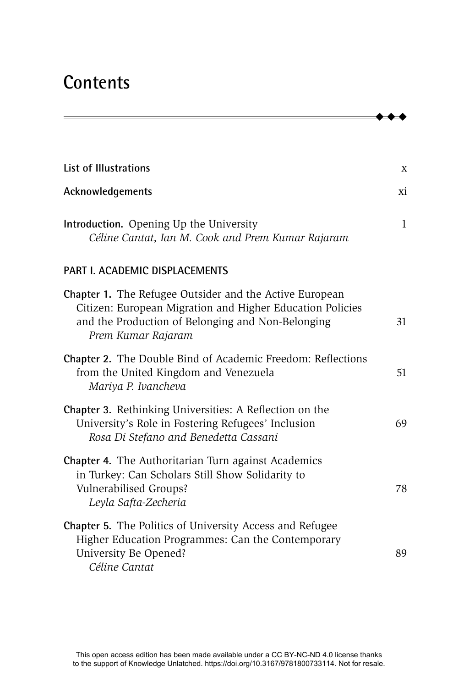## **Contents**

| <b>List of Illustrations</b>                                                                                                                                                                    | X            |
|-------------------------------------------------------------------------------------------------------------------------------------------------------------------------------------------------|--------------|
| Acknowledgements                                                                                                                                                                                | хi           |
| Introduction. Opening Up the University<br>Céline Cantat, Ian M. Cook and Prem Kumar Rajaram                                                                                                    | $\mathbf{1}$ |
| PART I. ACADEMIC DISPLACEMENTS                                                                                                                                                                  |              |
| Chapter 1. The Refugee Outsider and the Active European<br>Citizen: European Migration and Higher Education Policies<br>and the Production of Belonging and Non-Belonging<br>Prem Kumar Rajaram | 31           |
| Chapter 2. The Double Bind of Academic Freedom: Reflections<br>from the United Kingdom and Venezuela<br>Mariya P. Ivancheva                                                                     | 51           |
| Chapter 3. Rethinking Universities: A Reflection on the<br>University's Role in Fostering Refugees' Inclusion<br>Rosa Di Stefano and Benedetta Cassani                                          | 69           |
| <b>Chapter 4.</b> The Authoritarian Turn against Academics<br>in Turkey: Can Scholars Still Show Solidarity to<br>Vulnerabilised Groups?<br>Leyla Safta-Zecheria                                | 78           |
| Chapter 5. The Politics of University Access and Refugee<br>Higher Education Programmes: Can the Contemporary<br>University Be Opened?<br>Céline Cantat                                         | 89           |

- - -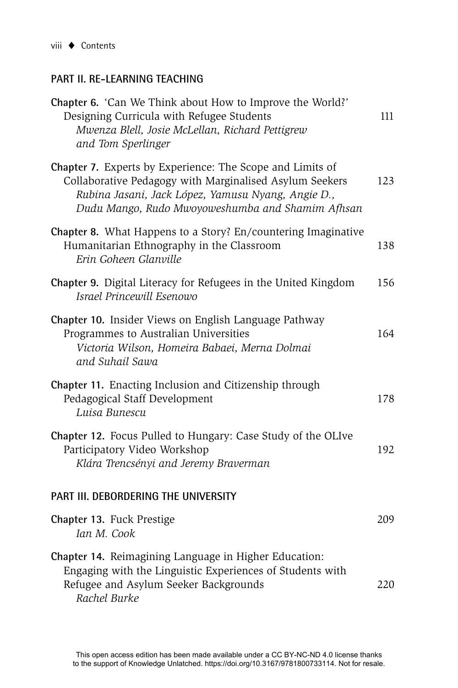## **PART II. RE-LEARNING TEACHING**

| Chapter 6. 'Can We Think about How to Improve the World?'<br>Designing Curricula with Refugee Students<br>Mwenza Blell, Josie McLellan, Richard Pettigrew<br>and Tom Sperlinger                                                | 111 |
|--------------------------------------------------------------------------------------------------------------------------------------------------------------------------------------------------------------------------------|-----|
| Chapter 7. Experts by Experience: The Scope and Limits of<br>Collaborative Pedagogy with Marginalised Asylum Seekers<br>Rubina Jasani, Jack López, Yamusu Nyang, Angie D.,<br>Dudu Mango, Rudo Mwoyoweshumba and Shamim Afhsan | 123 |
| Chapter 8. What Happens to a Story? En/countering Imaginative<br>Humanitarian Ethnography in the Classroom<br>Erin Goheen Glanville                                                                                            | 138 |
| Chapter 9. Digital Literacy for Refugees in the United Kingdom<br>Israel Princewill Esenowo                                                                                                                                    | 156 |
| Chapter 10. Insider Views on English Language Pathway<br>Programmes to Australian Universities<br>Victoria Wilson, Homeira Babaei, Merna Dolmai<br>and Suhail Sawa                                                             | 164 |
| Chapter 11. Enacting Inclusion and Citizenship through<br>Pedagogical Staff Development<br>Luisa Bunescu                                                                                                                       | 178 |
| Chapter 12. Focus Pulled to Hungary: Case Study of the OLIve<br>Participatory Video Workshop<br>Klára Trencsényi and Jeremy Braverman                                                                                          | 192 |
| PART III. DEBORDERING THE UNIVERSITY                                                                                                                                                                                           |     |
| Chapter 13. Fuck Prestige<br>Ian M. Cook                                                                                                                                                                                       | 209 |
| Chapter 14. Reimagining Language in Higher Education:<br>Engaging with the Linguistic Experiences of Students with<br>Refugee and Asylum Seeker Backgrounds<br>Rachel Burke                                                    | 220 |